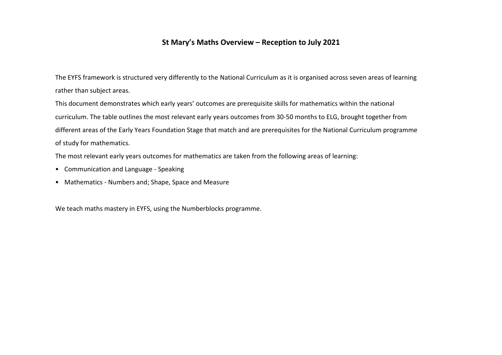## **St Mary's Maths Overview – Reception to July 2021**

The EYFS framework is structured very differently to the National Curriculum as it is organised across seven areas of learning rather than subject areas.

This document demonstrates which early years' outcomes are prerequisite skills for mathematics within the national curriculum. The table outlines the most relevant early years outcomes from 30-50 months to ELG, brought together from different areas of the Early Years Foundation Stage that match and are prerequisites for the National Curriculum programme of study for mathematics.

The most relevant early years outcomes for mathematics are taken from the following areas of learning:

- Communication and Language Speaking
- Mathematics Numbers and; Shape, Space and Measure

We teach maths mastery in EYFS, using the Numberblocks programme.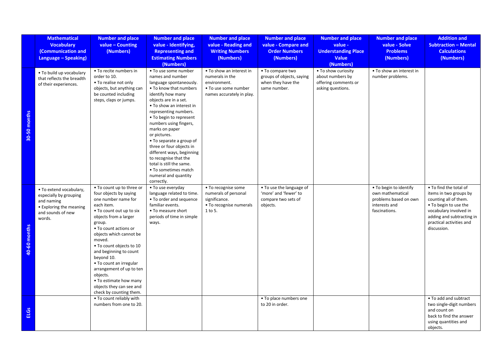|              | <b>Mathematical</b><br><b>Vocabulary</b><br>(Communication and<br>Language - Speaking)                                    | <b>Number and place</b><br>$value - Counting$<br>(Numbers)                                                                                                                                                                                                                                                                                                                                                                                    | <b>Number and place</b><br>value - Identifying,<br><b>Representing and</b><br><b>Estimating Numbers</b><br>(Numbers)                                                                                                                                                                                                                                                                                                                                                                            | <b>Number and place</b><br>value - Reading and<br><b>Writing Numbers</b><br>(Numbers)                            | <b>Number and place</b><br>value - Compare and<br><b>Order Numbers</b><br>(Numbers)  | <b>Number and place</b><br>value -<br><b>Understanding Place</b><br>Value<br>(Numbers) | <b>Number and place</b><br>value - Solve<br><b>Problems</b><br>(Numbers)                              | <b>Addition and</b><br><b>Subtraction - Mental</b><br><b>Calculations</b><br>(Numbers)                                                                                                               |
|--------------|---------------------------------------------------------------------------------------------------------------------------|-----------------------------------------------------------------------------------------------------------------------------------------------------------------------------------------------------------------------------------------------------------------------------------------------------------------------------------------------------------------------------------------------------------------------------------------------|-------------------------------------------------------------------------------------------------------------------------------------------------------------------------------------------------------------------------------------------------------------------------------------------------------------------------------------------------------------------------------------------------------------------------------------------------------------------------------------------------|------------------------------------------------------------------------------------------------------------------|--------------------------------------------------------------------------------------|----------------------------------------------------------------------------------------|-------------------------------------------------------------------------------------------------------|------------------------------------------------------------------------------------------------------------------------------------------------------------------------------------------------------|
| 30-50 months | . To build up vocabulary<br>that reflects the breadth<br>of their experiences.                                            | • To recite numbers in<br>order to 10.<br>• To realise not only<br>objects, but anything can<br>be counted including<br>steps, claps or jumps.                                                                                                                                                                                                                                                                                                | . To use some number<br>names and number<br>language spontaneously.<br>• To know that numbers<br>identify how many<br>objects are in a set.<br>. To show an interest in<br>representing numbers.<br>• To begin to represent<br>numbers using fingers,<br>marks on paper<br>or pictures.<br>• To separate a group of<br>three or four objects in<br>different ways, beginning<br>to recognise that the<br>total is still the same.<br>• To sometimes match<br>numeral and quantity<br>correctly. | . To show an interest in<br>numerals in the<br>environment.<br>• To use some number<br>names accurately in play. | • To compare two<br>groups of objects, saying<br>when they have the<br>same number.  | . To show curiosity<br>about numbers by<br>offering comments or<br>asking questions.   | . To show an interest in<br>number problems.                                                          |                                                                                                                                                                                                      |
| 40-60 months | . To extend vocabulary,<br>especially by grouping<br>and naming<br>• Exploring the meaning<br>and sounds of new<br>words. | . To count up to three or<br>four objects by saying<br>one number name for<br>each item.<br>• To count out up to six<br>objects from a larger<br>group.<br>• To count actions or<br>objects which cannot be<br>moved.<br>. To count objects to 10<br>and beginning to count<br>beyond 10.<br>• To count an irregular<br>arrangement of up to ten<br>objects.<br>• To estimate how many<br>objects they can see and<br>check by counting them. | • To use everyday<br>language related to time.<br>• To order and sequence<br>familiar events.<br>• To measure short<br>periods of time in simple<br>ways.                                                                                                                                                                                                                                                                                                                                       | • To recognise some<br>numerals of personal<br>significance.<br>• To recognise numerals<br>1 to 5.               | • To use the language of<br>'more' and 'fewer' to<br>compare two sets of<br>objects. |                                                                                        | • To begin to identify<br>own mathematical<br>problems based on own<br>interests and<br>fascinations. | . To find the total of<br>items in two groups by<br>counting all of them.<br>. To begin to use the<br>vocabulary involved in<br>adding and subtracting in<br>practical activities and<br>discussion. |
| ů<br>긊       |                                                                                                                           | . To count reliably with<br>numbers from one to 20.                                                                                                                                                                                                                                                                                                                                                                                           |                                                                                                                                                                                                                                                                                                                                                                                                                                                                                                 |                                                                                                                  | • To place numbers one<br>to 20 in order.                                            |                                                                                        |                                                                                                       | . To add and subtract<br>two single-digit numbers<br>and count on<br>back to find the answer<br>using quantities and<br>objects.                                                                     |